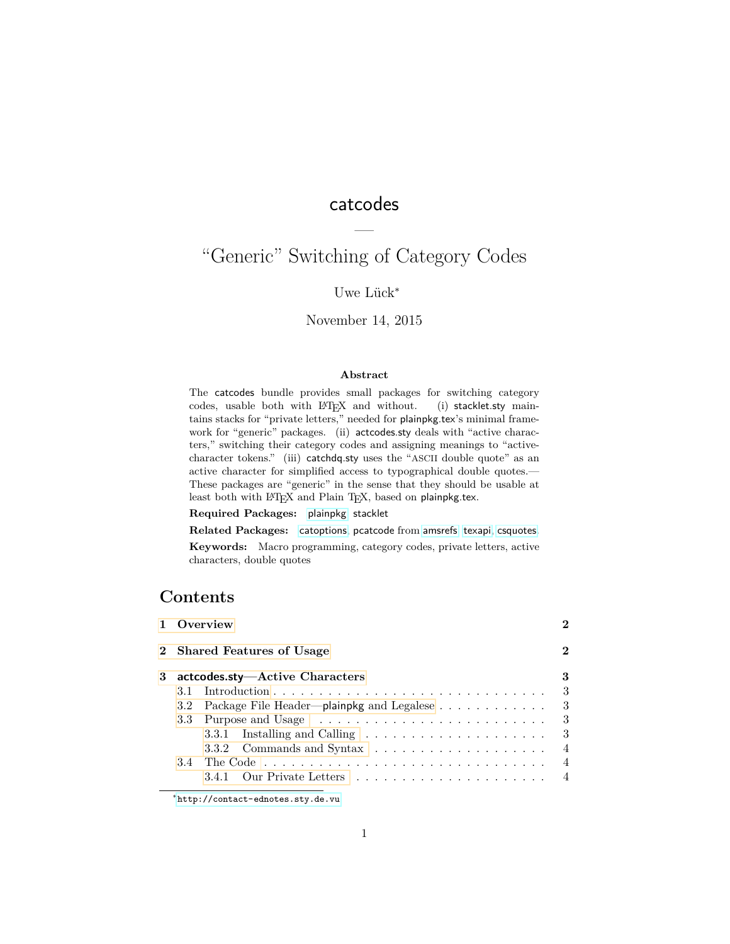# catcodes

—

# "Generic" Switching of Category Codes

# Uwe Lück<sup>\*</sup>

## November 14, 2015

## **Abstract**

The catcodes bundle provides small packages for switching category codes, usable both with LATEX and without. (i) stacklet.sty maintains stacks for "private letters," needed for plainpkg.tex's minimal framework for "generic" packages. (ii) actcodes.sty deals with "active characters," switching their category codes and assigning meanings to "activecharacter tokens." (iii) catchdq.sty uses the "ASCII double quote" as an active character for simplified access to typographical double quotes.— These packages are "generic" in the sense that they should be usable at least both with L<sup>AT</sup>EX and Plain TEX, based on plainpkg.tex.

**Required Packages:** [plainpkg](http://ctan.org/pkg/plainpkg), stacklet

**Related Packages:** [catoptions](http://ctan.org/pkg/catoptions), pcatcode from [amsrefs](http://ctan.org/pkg/amsrefs), [texapi](http://ctan.org/pkg/texapi), [csquotes](http://ctan.org/pkg/csquotes).

**Keywords:** Macro programming, category codes, private letters, active characters, double quotes

# **Contents**

|   |                            |                                                                            |     |  |  |  | 1 Overview |  |  |  |  |
|---|----------------------------|----------------------------------------------------------------------------|-----|--|--|--|------------|--|--|--|--|
|   | 2 Shared Features of Usage |                                                                            |     |  |  |  |            |  |  |  |  |
| 3 |                            | actcodes.sty—Active Characters                                             | 3   |  |  |  |            |  |  |  |  |
|   |                            |                                                                            | - 3 |  |  |  |            |  |  |  |  |
|   |                            | 3.2 Package File Header—plainpkg and Legalese                              | - 3 |  |  |  |            |  |  |  |  |
|   |                            |                                                                            | - 3 |  |  |  |            |  |  |  |  |
|   |                            | 3.3.1 Installing and Calling $\ldots \ldots \ldots \ldots \ldots \ldots$ 3 |     |  |  |  |            |  |  |  |  |
|   |                            | 3.3.2 Commands and Syntax                                                  | 4   |  |  |  |            |  |  |  |  |
|   |                            |                                                                            |     |  |  |  |            |  |  |  |  |
|   |                            |                                                                            |     |  |  |  |            |  |  |  |  |
|   |                            |                                                                            |     |  |  |  |            |  |  |  |  |

<sup>∗</sup><http://contact-ednotes.sty.de.vu>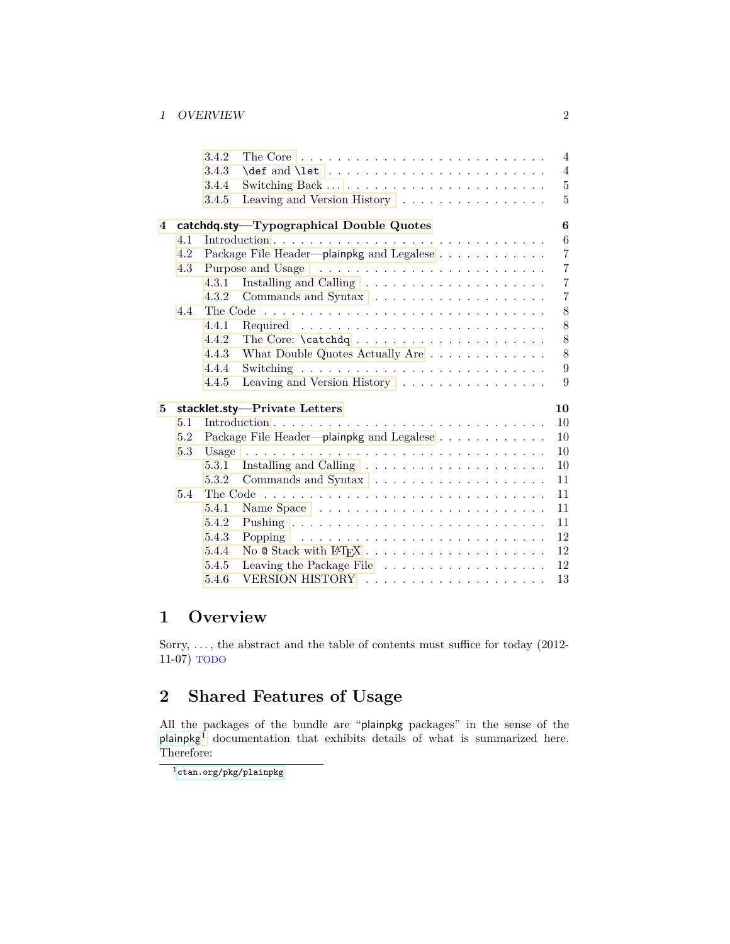## 1 OVERVIEW 2

|   |     | 3.4.2                              | $\overline{4}$<br>The Core $\dots \dots \dots \dots \dots \dots \dots \dots \dots \dots \dots$        |  |  |  |  |  |  |  |  |  |  |
|---|-----|------------------------------------|-------------------------------------------------------------------------------------------------------|--|--|--|--|--|--|--|--|--|--|
|   |     | 3.4.3                              | $\overline{4}$                                                                                        |  |  |  |  |  |  |  |  |  |  |
|   |     | 3.4.4                              | $\bf 5$                                                                                               |  |  |  |  |  |  |  |  |  |  |
|   |     | 3.4.5                              | Leaving and Version History<br>5                                                                      |  |  |  |  |  |  |  |  |  |  |
| 4 |     |                                    | catchdq.sty-Typographical Double Quotes<br>6                                                          |  |  |  |  |  |  |  |  |  |  |
|   | 4.1 |                                    | 6                                                                                                     |  |  |  |  |  |  |  |  |  |  |
|   | 4.2 |                                    | $\overline{7}$<br>Package File Header—plainpkg and Legalese                                           |  |  |  |  |  |  |  |  |  |  |
|   | 4.3 |                                    | $\overline{7}$                                                                                        |  |  |  |  |  |  |  |  |  |  |
|   |     | 4.3.1                              | $\overline{7}$                                                                                        |  |  |  |  |  |  |  |  |  |  |
|   |     | 4.3.2                              | $\overline{7}$                                                                                        |  |  |  |  |  |  |  |  |  |  |
|   | 4.4 |                                    | 8                                                                                                     |  |  |  |  |  |  |  |  |  |  |
|   |     | 4.4.1                              | 8                                                                                                     |  |  |  |  |  |  |  |  |  |  |
|   |     | 4.4.2                              | 8                                                                                                     |  |  |  |  |  |  |  |  |  |  |
|   |     | 4.4.3                              | 8<br>What Double Quotes Actually Are $\ldots \ldots \ldots \ldots \ldots$                             |  |  |  |  |  |  |  |  |  |  |
|   |     | 4.4.4                              | 9                                                                                                     |  |  |  |  |  |  |  |  |  |  |
|   |     | 4.4.5                              | Leaving and Version History<br>9                                                                      |  |  |  |  |  |  |  |  |  |  |
| 5 |     | 10<br>stacklet.sty-Private Letters |                                                                                                       |  |  |  |  |  |  |  |  |  |  |
|   | 5.1 |                                    | 10                                                                                                    |  |  |  |  |  |  |  |  |  |  |
|   | 5.2 |                                    | Package File Header---plainpkg and Legalese<br>10                                                     |  |  |  |  |  |  |  |  |  |  |
|   | 5.3 |                                    | 10                                                                                                    |  |  |  |  |  |  |  |  |  |  |
|   |     | 5.3.1                              | Installing and Calling<br>10                                                                          |  |  |  |  |  |  |  |  |  |  |
|   |     | 5.3.2                              | 11                                                                                                    |  |  |  |  |  |  |  |  |  |  |
|   | 5.4 |                                    | 11                                                                                                    |  |  |  |  |  |  |  |  |  |  |
|   |     | 5.4.1                              | 11                                                                                                    |  |  |  |  |  |  |  |  |  |  |
|   |     | 5.4.2                              | 11                                                                                                    |  |  |  |  |  |  |  |  |  |  |
|   |     | 5.4.3                              | 12<br>Popping $\ldots \ldots \ldots \ldots \ldots \ldots \ldots \ldots \ldots$                        |  |  |  |  |  |  |  |  |  |  |
|   |     | 5.4.4                              | 12                                                                                                    |  |  |  |  |  |  |  |  |  |  |
|   |     | 5.4.5                              | Leaving the Package File $\phantom{a_1 + \cdots + \phantom{a_{n-1}}\cdots + \phantom{a_{n-1}}}$<br>12 |  |  |  |  |  |  |  |  |  |  |
|   |     | 5.4.6                              | 13                                                                                                    |  |  |  |  |  |  |  |  |  |  |
|   |     |                                    |                                                                                                       |  |  |  |  |  |  |  |  |  |  |

# <span id="page-1-0"></span>**1 Overview**

Sorry,  $\dots$ , the abstract and the table of contents must suffice for today (2012-11-07) TODO

# <span id="page-1-1"></span>**2 Shared Features of Usage**

All the packages of the bundle are "plainpkg packages" in the sense of the  $plainpkg<sup>1</sup>$  $plainpkg<sup>1</sup>$  $plainpkg<sup>1</sup>$  $plainpkg<sup>1</sup>$  documentation that exhibits details of what is summarized here. Therefore:

<span id="page-1-2"></span> $^{\rm 1}$ [ctan.org/pkg/plainpkg](http://ctan.org/pkg/plainpkg)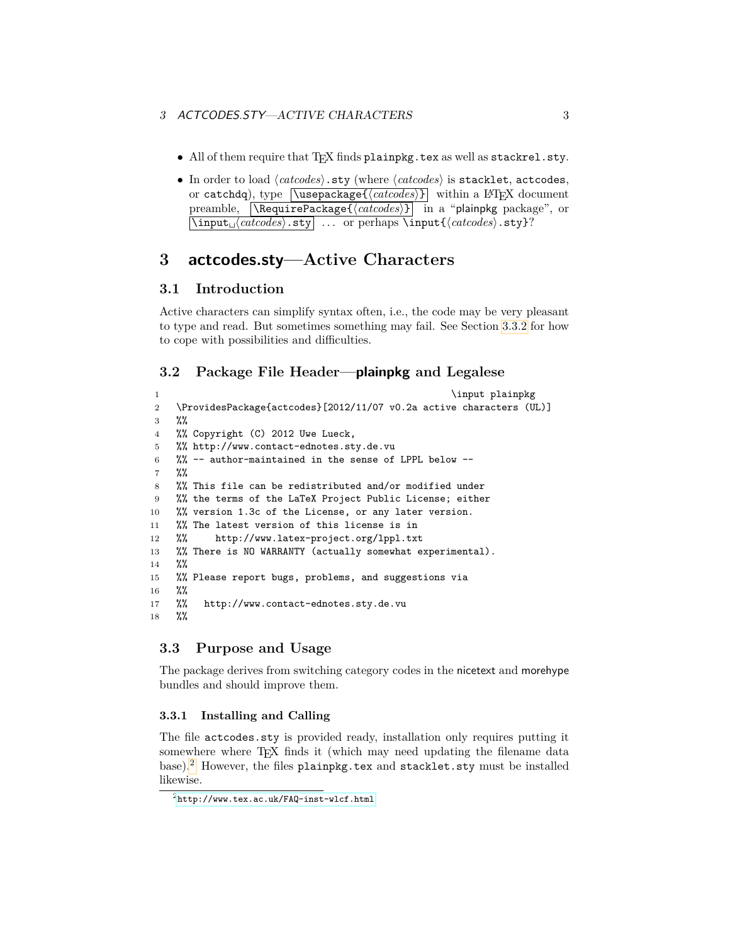- All of them require that TEX finds plainpkg.tex as well as stackrel.sty.
- In order to load  $\langle \textit{catoodes} \rangle$ .sty (where  $\langle \textit{catoodes} \rangle$  is stacklet, actcodes, or catchdq), type  $\sqrt{\text{usepackage}\{\text{c} \cdot \text{c} \cdot \text{d} \cdot \text{c} \cdot \text{d} \cdot \text{d} \cdot \text{d} \cdot \text{d} \cdot \text{d} \cdot \text{d} \cdot \text{d} \cdot \text{d} \cdot \text{d} \cdot \text{d} \cdot \text{d} \cdot \text{d} \cdot \text{d} \cdot \text{d} \cdot \text{d} \cdot \text{d} \cdot \text{d} \cdot \text{d} \cdot \text{d} \cdot \text{d} \cdot \text{d} \cdot \text{d} \cdot \text{d} \cdot \text{d}$ preamble,  $\Re$ Package{ $\langle \text{catcodes} \rangle$ } in a "plainpkg package", or \input<sub>\latcodes</sub> sty *...* or perhaps \input{\*catcodes* }.sty}?

# <span id="page-2-0"></span>**3 actcodes.sty—Active Characters**

# <span id="page-2-1"></span>**3.1 Introduction**

Active characters can simplify syntax often, i.e., the code may be very pleasant to type and read. But sometimes something may fail. See Section [3.3.2](#page-3-0) for how to cope with possibilities and difficulties.

# <span id="page-2-2"></span>**3.2 Package File Header—plainpkg and Legalese**

```
1 \input plainpkg
2 \ProvidesPackage{actcodes}[2012/11/07 v0.2a active characters (UL)]
3 \frac{\%}{\%}4 %% Copyright (C) 2012 Uwe Lueck,
5 %% http://www.contact-ednotes.sty.de.vu
6 %% -- author-maintained in the sense of LPPL below --
7 %%
8 %% This file can be redistributed and/or modified under
9 %% the terms of the LaTeX Project Public License; either
10 %% version 1.3c of the License, or any later version.
11 %% The latest version of this license is in
12 %% http://www.latex-project.org/lppl.txt
13 %% There is NO WARRANTY (actually somewhat experimental).
14 %%
15 %% Please report bugs, problems, and suggestions via
16 %%
17 %% http://www.contact-ednotes.sty.de.vu
18 %%
```
## <span id="page-2-3"></span>**3.3 Purpose and Usage**

The package derives from switching category codes in the nicetext and morehype bundles and should improve them.

## <span id="page-2-4"></span>**3.3.1 Installing and Calling**

The file actcodes.sty is provided ready, installation only requires putting it somewhere where T<sub>EX</sub> finds it (which may need updating the filename data base).[2](#page-2-5) However, the files plainpkg.tex and stacklet.sty must be installed likewise.

<span id="page-2-5"></span> $^{2}$ <http://www.tex.ac.uk/FAQ-inst-wlcf.html>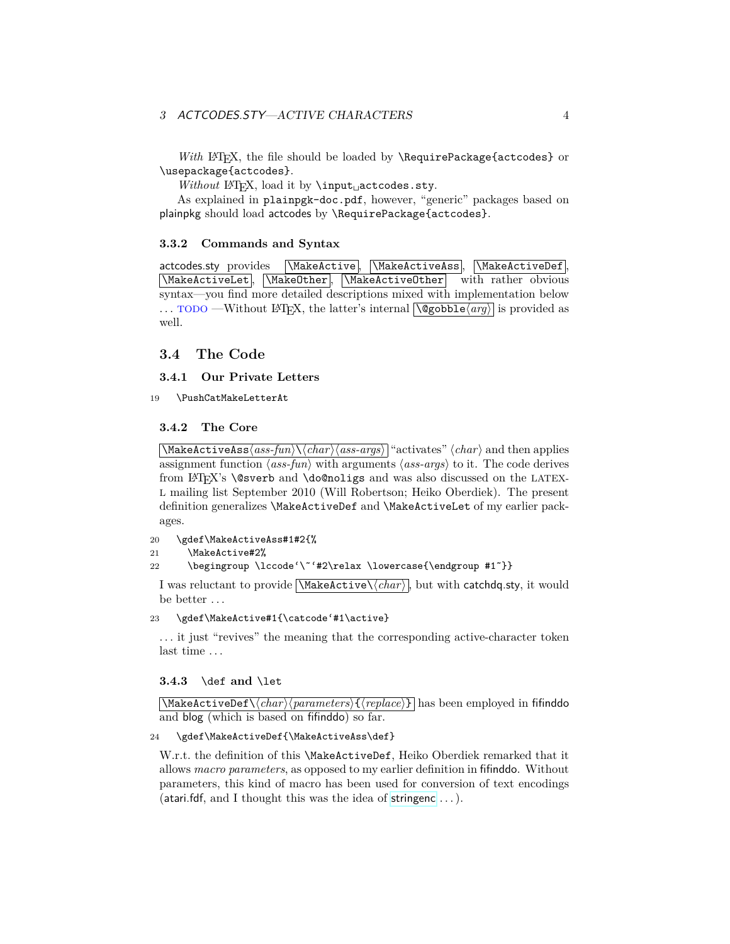## 3 ACTCODES.STY—ACTIVE CHARACTERS 4

*With* LAT<sub>E</sub>X, the file should be loaded by **\RequirePackage{actcodes}** or \usepackage{actcodes}.

*Without* L<sup>AT</sup>F<sub>X</sub>, load it by ∖input<sub>□</sub>actcodes.sty.

As explained in plainpgk-doc.pdf, however, "generic" packages based on plainpkg should load actcodes by \RequirePackage{actcodes}.

## <span id="page-3-0"></span>**3.3.2 Commands and Syntax**

actcodes.sty provides \MakeActive, \MakeActiveAss, \MakeActiveDef,  $\N$ AakeActiveLet,  $\M$ akeOther,  $\M$ akeActiveOther with rather obvious syntax—you find more detailed descriptions mixed with implementation below ... TODO —Without L<sup>A</sup>T<sub>E</sub>X, the latter's internal  $\overline{\text{Qgobble} \langle arg \rangle}$  is provided as well.

## <span id="page-3-1"></span>**3.4 The Code**

#### <span id="page-3-2"></span>**3.4.1 Our Private Letters**

19 \PushCatMakeLetterAt

## <span id="page-3-3"></span>**3.4.2 The Core**

 $\langle\mathrm{MakedctiveAss}$  /*ass-fun* $\langle\mathrm{char}\rangle$ */ass-args* $\rangle$  "activates"  $\langle char\rangle$  and then applies assignment function  $\langle ass-fun \rangle$  with arguments  $\langle ass-args \rangle$  to it. The code derives from LATEX's \@sverb and \do@noligs and was also discussed on the LATEX-L mailing list September 2010 (Will Robertson; Heiko Oberdiek). The present definition generalizes \MakeActiveDef and \MakeActiveLet of my earlier packages.

```
20 \gdef\MakeActiveAss#1#2{%
```
21 \MakeActive#2%

```
22 \begingroup \lccode'\~'#2\relax \lowercase{\endgroup #1~}}
```
I was reluctant to provide  $\langle \text{MakeActive} \langle \text{char} \rangle$ , but with catchdq.sty, it would be better . . .

## 23 \gdef\MakeActive#1{\catcode'#1\active}

. . . it just "revives" the meaning that the corresponding active-character token last time . . .

### <span id="page-3-4"></span>**3.4.3** \def **and** \let

 $\langle \text{MakedctiveDef}\rangle\langle \text{parameters}\rangle\{\langle \text{replace}\rangle\}$  has been employed in fifinddo and blog (which is based on fifinddo) so far.

#### 24 \gdef\MakeActiveDef{\MakeActiveAss\def}

W.r.t. the definition of this \MakeActiveDef, Heiko Oberdiek remarked that it allows *macro parameters*, as opposed to my earlier definition in fifinddo. Without parameters, this kind of macro has been used for conversion of text encodings (atari.fdf, and I thought this was the idea of [stringenc](http://ctan.org/pkg/stringenc) . . . ).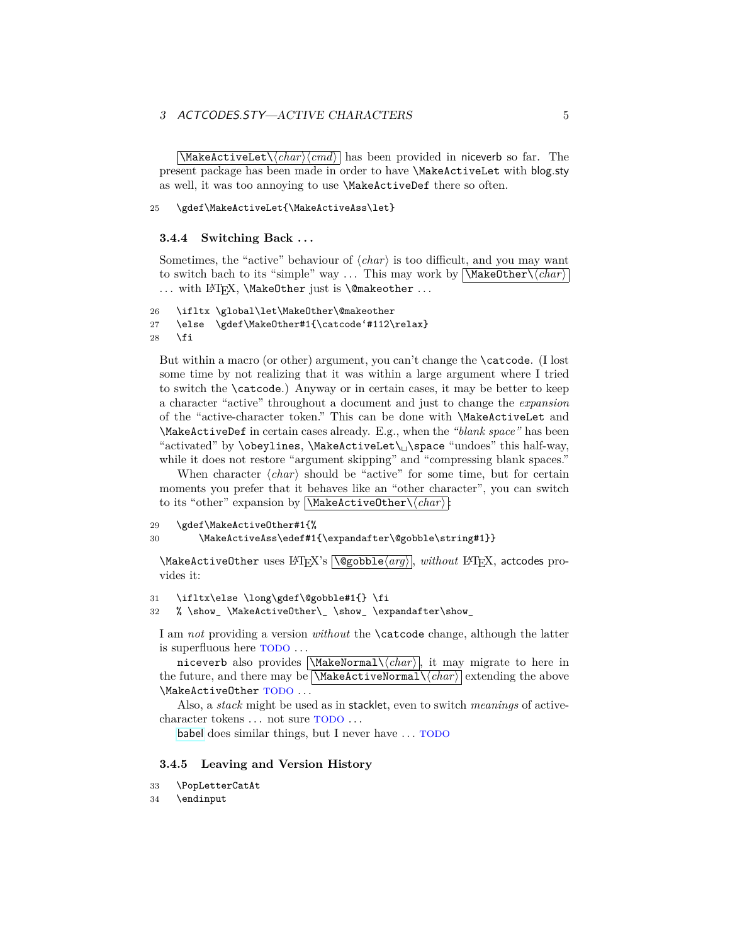## 3 ACTCODES.STY—ACTIVE CHARACTERS  $5$

 $\overline{\langle MakeActiveLet \langle char \rangle \langle char \rangle}$  has been provided in niceverb so far. The present package has been made in order to have \MakeActiveLet with blog.sty as well, it was too annoying to use \MakeActiveDef there so often.

#### 25 \gdef\MakeActiveLet{\MakeActiveAss\let}

#### <span id="page-4-0"></span>**3.4.4 Switching Back . . .**

Sometimes, the "active" behaviour of  $\langle char \rangle$  is too difficult, and you may want to switch bach to its "simple" way ... This may work by  $\langle \langle \text{MakeOther} \rangle \langle \text{char} \rangle$ ... with LAT<sub>F</sub>X, *\MakeOther* just is *\@makeother* ...

```
26 \ifltx \global\let\MakeOther\@makeother
27 \else \gdef\MakeOther#1{\catcode'#112\relax}
28 \fi
```
But within a macro (or other) argument, you can't change the \catcode. (I lost some time by not realizing that it was within a large argument where I tried to switch the \catcode.) Anyway or in certain cases, it may be better to keep a character "active" throughout a document and just to change the *expansion* of the "active-character token." This can be done with \MakeActiveLet and \MakeActiveDef in certain cases already. E.g., when the *"blank space"* has been "activated" by \obeylines, \MakeActiveLet\␣\space "undoes" this half-way, while it does not restore "argument skipping" and "compressing blank spaces."

When character  $\langle char \rangle$  should be "active" for some time, but for certain moments you prefer that it behaves like an "other character", you can switch to its "other" expansion by  $\MakeActiveOther\langle char \rangle$ :

```
29 \gdef\MakeActiveOther#1{%
```

```
30 \MakeActiveAss\edef#1{\expandafter\@gobble\string#1}}
```
\MakeActiveOther uses LAT<sub>EX</sub>'s \@gobble\arg\, *without* LATEX, actcodes provides it:

```
31 \ifltx\else \long\gdef\@gobble#1{} \fi
```
32 % \show\_ \MakeActiveOther\\_ \show\_ \expandafter\show\_

I am *not* providing a version *without* the \catcode change, although the latter is superfluous here TODO . . .

niceverb also provides  $\langle \text{MaxeNormal}\langle \text{char} \rangle$ , it may migrate to here in the future, and there may be  $\langle \text{MakedctiveNormal}\langle \text{char}\rangle$  extending the above \MakeActiveOther TODO . . .

Also, a *stack* might be used as in stacklet, even to switch *meanings* of activecharacter tokens ... not sure TODO ...

[babel](http://ctan.org/pkg/babel) does similar things, but I never have ... TODO

#### <span id="page-4-1"></span>**3.4.5 Leaving and Version History**

33 \PopLetterCatAt

```
34 \endinput
```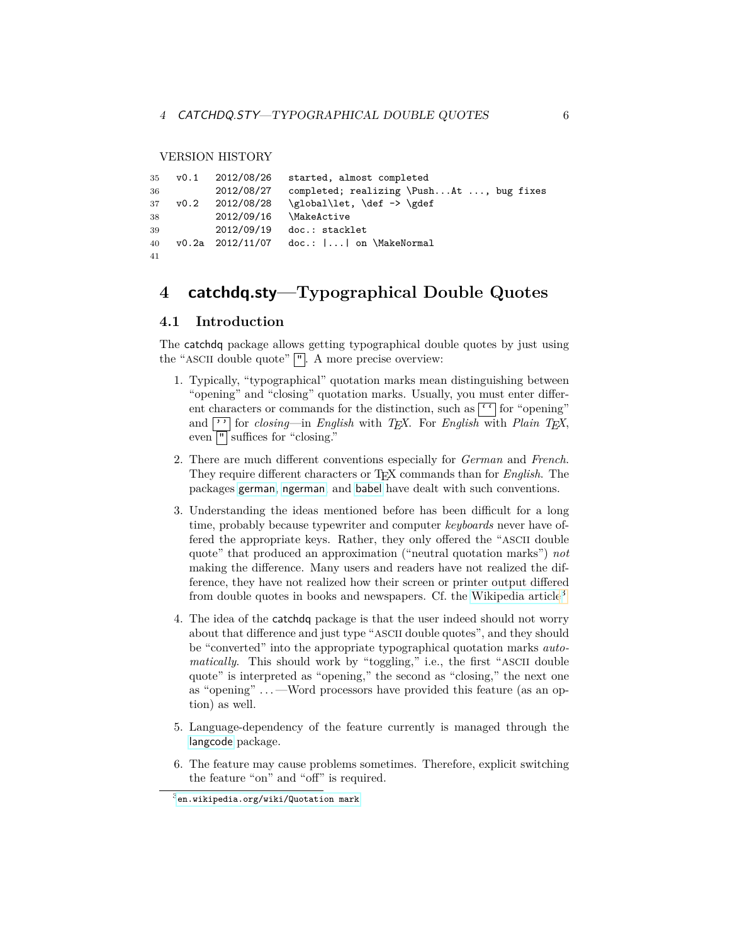#### VERSION HISTORY

```
35 v0.1 2012/08/26 started, almost completed
36 2012/08/27 completed; realizing \Push...At ..., bug fixes
37 v0.2 2012/08/28 \global\let, \def -> \gdef
38 2012/09/16 \MakeActive
39 2012/09/19 doc.: stacklet
40 v0.2a 2012/11/07 doc.: |...| on \MakeNormal
41
```
# <span id="page-5-0"></span>**4 catchdq.sty—Typographical Double Quotes**

# <span id="page-5-1"></span>**4.1 Introduction**

The catchdq package allows getting typographical double quotes by just using the "ASCII double quote"  $\vert \cdot \vert$ . A more precise overview:

- 1. Typically, "typographical" quotation marks mean distinguishing between "opening" and "closing" quotation marks. Usually, you must enter different characters or commands for the distinction, such as  $\lceil \cdot \rceil$  for "opening" and <sup>1</sup> for *closing*—in *English* with *T<sub>E</sub>X*. For *English* with *Plain T<sub>E</sub>X*, even  $\lvert \cdot \rvert$  suffices for "closing."
- 2. There are much different conventions especially for *German* and *French*. They require different characters or TEX commands than for *English*. The packages [german](http://ctan.org/pkg/german), [ngerman](http://ctan.org/pkg/ngerman), and [babel](http://ctan.org/pkg/babel) have dealt with such conventions.
- 3. Understanding the ideas mentioned before has been difficult for a long time, probably because typewriter and computer *keyboards* never have offered the appropriate keys. Rather, they only offered the "ASCII double quote" that produced an approximation ("neutral quotation marks") *not* making the difference. Many users and readers have not realized the difference, they have not realized how their screen or printer output differed from double quotes in books and newspapers. Cf. the [Wikipedia article](http://en.wikipedia.org/wiki/Quotation mark)[3](#page-5-2)
- 4. The idea of the catchdq package is that the user indeed should not worry about that difference and just type "ASCII double quotes", and they should be "converted" into the appropriate typographical quotation marks *automatically*. This should work by "toggling," i.e., the first "ASCII double quote" is interpreted as "opening," the second as "closing," the next one as "opening" . . . —Word processors have provided this feature (as an option) as well.
- 5. Language-dependency of the feature currently is managed through the [langcode](http://ctan.org/pkg/langcode) package.
- 6. The feature may cause problems sometimes. Therefore, explicit switching the feature "on" and "off" is required.

<span id="page-5-2"></span> $^3$ [en.wikipedia.org/wiki/Quotation mark](http://en.wikipedia.org/wiki/Quotation mark)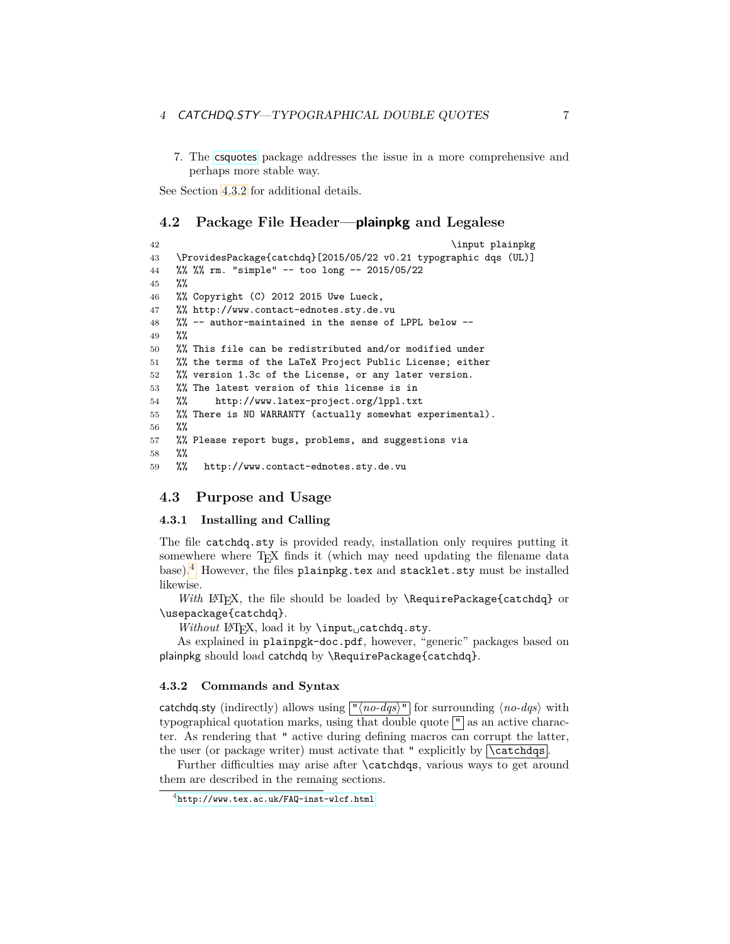7. The [csquotes](http://ctan.org/pkg/csquotes) package addresses the issue in a more comprehensive and perhaps more stable way.

See Section [4.3.2](#page-6-3) for additional details.

## <span id="page-6-0"></span>**4.2 Package File Header—plainpkg and Legalese**

```
42 \{4243 \ProvidesPackage{catchdq}[2015/05/22 v0.21 typographic dqs (UL)]
44 %% %% rm. "simple" -- too long -- 2015/05/22
45 %%
46 %% Copyright (C) 2012 2015 Uwe Lueck,
47 %% http://www.contact-ednotes.sty.de.vu
48 %% -- author-maintained in the sense of LPPL below --
49 %%
50 %% This file can be redistributed and/or modified under
51 %% the terms of the LaTeX Project Public License; either
52 %% version 1.3c of the License, or any later version.
53 %% The latest version of this license is in
54 %% http://www.latex-project.org/lppl.txt
55 %% There is NO WARRANTY (actually somewhat experimental).
56 %%
57 %% Please report bugs, problems, and suggestions via
58 %%
59 %% http://www.contact-ednotes.sty.de.vu
```
## <span id="page-6-1"></span>**4.3 Purpose and Usage**

### <span id="page-6-2"></span>**4.3.1 Installing and Calling**

The file catchdq.sty is provided ready, installation only requires putting it somewhere where T<sub>EX</sub> finds it (which may need updating the filename data base).[4](#page-6-4) However, the files plainpkg.tex and stacklet.sty must be installed likewise.

*With* LAT<sub>E</sub>X, the file should be loaded by **\RequirePackage{catchdq}** or \usepackage{catchdq}.

*Without* L<sup>AT</sup>FX, load it by ∖input<sub>⊔</sub>catchdq.sty.

As explained in plainpgk-doc.pdf, however, "generic" packages based on plainpkg should load catchdq by \RequirePackage{catchdq}.

#### <span id="page-6-3"></span>**4.3.2 Commands and Syntax**

catchdq.sty (indirectly) allows using  $\lceil \frac{n}{no-dqs} \rceil$  for surrounding  $\langle \frac{no-dqs} \rangle$  with typographical quotation marks, using that double quote  $\mathbb{F}$  as an active character. As rendering that " active during defining macros can corrupt the latter, the user (or package writer) must activate that " explicitly by  $\backslash$  catchdqs.

Further difficulties may arise after \catchdqs, various ways to get around them are described in the remaing sections.

<span id="page-6-4"></span><sup>4</sup><http://www.tex.ac.uk/FAQ-inst-wlcf.html>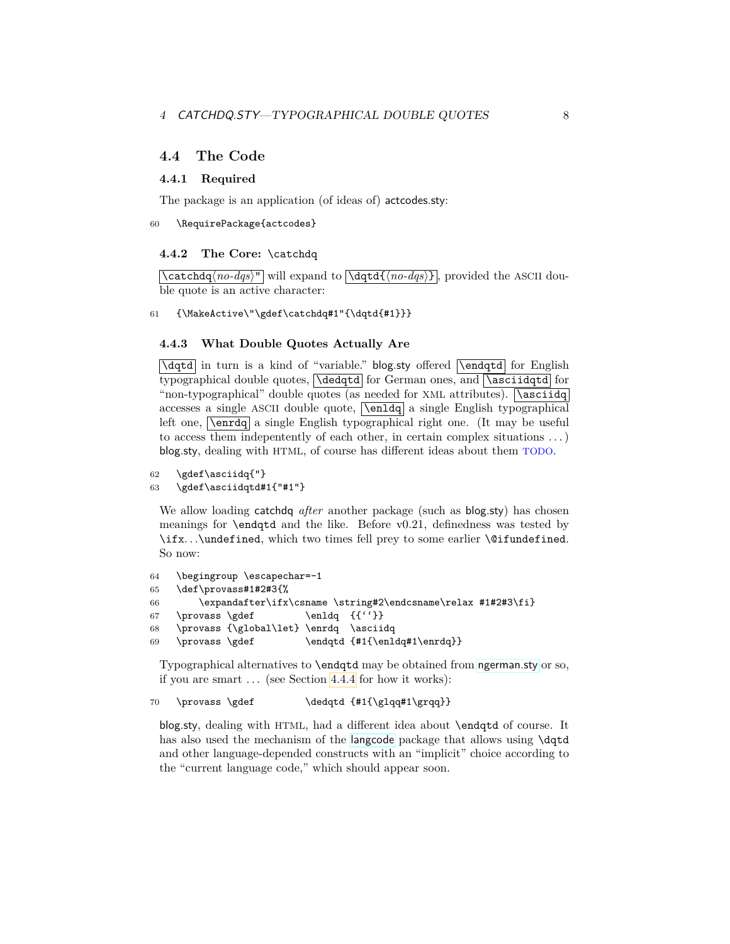## <span id="page-7-0"></span>**4.4 The Code**

#### <span id="page-7-1"></span>**4.4.1 Required**

The package is an application (of ideas of) actcodes.sty:

#### 60 \RequirePackage{actcodes}

### <span id="page-7-2"></span>**4.4.2 The Core:** \catchdq

 $\{\text{catchdq}\$ <sup>n</sup> will expand to  $\text{dqtd}\$ <sub>no-dqs</sub>} , provided the ASCII double quote is an active character:

61 {\MakeActive\"\gdef\catchdq#1"{\dqtd{#1}}}

## <span id="page-7-3"></span>**4.4.3 What Double Quotes Actually Are**

 $\overline{\text{dqtd}}$  in turn is a kind of "variable." blog.sty offered  $\overline{\text{dqtd}}$  for English typographical double quotes,  $\delta$  for German ones, and  $\delta$  for "non-typographical" double quotes (as needed for XML attributes).  $\sqrt{\text{asciidq}}$ accesses a single ASCII double quote,  $\overline{\{ \text{enldq} \}}$  a single English typographical left one, **\enrdq** a single English typographical right one. (It may be useful to access them indepentently of each other, in certain complex situations . . . ) blog.sty, dealing with HTML, of course has different ideas about them TODO.

```
62 \qquad \text{asciidq}"}
63 \gdef\asciidqtd#1{"#1"}
```
We allow loading catchdq *after* another package (such as blog.sty) has chosen meanings for \endqtd and the like. Before v0.21, definedness was tested by \ifx. . .\undefined, which two times fell prey to some earlier \@ifundefined. So now:

```
64 \begingroup \escapechar=-1
65 \def\provass#1#2#3{%
66 \expandafter\ifx\csname \string#2\endcsname\relax #1#2#3\fi}
67 \provass \gdef \{{''}\}68 \provass {\global\let} \enrdq \asciidq
69 \provass \gdef \endqtd {#1{\enldq#1\enrdq}}
```
Typographical alternatives to \endqtd may be obtained from [ngerman.sty](http://ctan.org/pkg/ngerman) or so, if you are smart . . . (see Section [4.4.4](#page-8-0) for how it works):

```
70 \provass \gdef \delta {\#1}{\g1qq#1\g1q}
```
blog.sty, dealing with HTML, had a different idea about \endqtd of course. It has also used the mechanism of the [langcode](http://ctan.org/pkg/langcode) package that allows using \dqtd and other language-depended constructs with an "implicit" choice according to the "current language code," which should appear soon.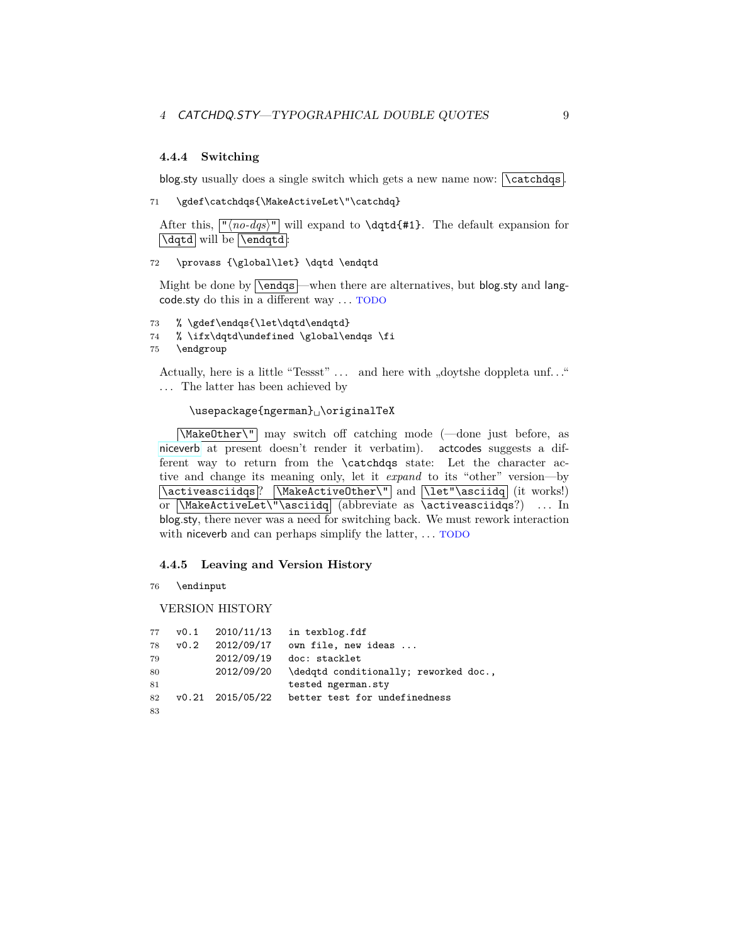## <span id="page-8-0"></span>**4.4.4 Switching**

blog.sty usually does a single switch which gets a new name now:  $\sqrt{\text{catchdqs}}$ .

```
71 \gdef\catchdqs{\MakeActiveLet\"\catchdq}
```
After this,  $\lceil \frac{n_0-dqs}{n} \rceil$  will expand to **\dqtd{#1}**. The default expansion for  $\overline{\text{Vdqtd}}$  will be  $\text{Lendqtd}$ :

72 \provass {\global\let} \dqtd \endqtd

Might be done by  $\overline{\text{v}}$  –when there are alternatives, but blog.sty and langcode.sty do this in a different way . . . TODO

- 73 % \gdef\endqs{\let\dqtd\endqtd}
- 74 % \ifx\dqtd\undefined \global\endqs \fi
- 75 \endgroup

Actually, here is a little "Tessst"  $\dots$  and here with "doytshe doppleta unf..." *. . .* The latter has been achieved by

## \usepackage{ngerman}␣\originalTeX

\MakeOther\" may switch off catching mode (—done just before, as [niceverb](http://ctan.org/pkg/niceverb) at present doesn't render it verbatim). actcodes suggests a different way to return from the \catchdqs state: Let the character active and change its meaning only, let it *expand* to its "other" version—by \activeasciidqs ? \MakeActiveOther\" and \let"\asciidq (it works!) or  $\MakeActiveLet\" \asciidq$  (abbreviate as \activeasciidqs?) ... In blog.sty, there never was a need for switching back. We must rework interaction with niceverb and can perhaps simplify the latter,  $\dots$  TODO

### <span id="page-8-1"></span>**4.4.5 Leaving and Version History**

76 \endinput

#### VERSION HISTORY

|    |      | 77 v0.1 2010/11/13 | in texblog.fdf                        |
|----|------|--------------------|---------------------------------------|
| 78 | v0.2 | 2012/09/17         | own file, new ideas                   |
| 79 |      | 2012/09/19         | doc: stacklet                         |
| 80 |      | 2012/09/20         | \dedqtd conditionally; reworked doc., |
| 81 |      |                    | tested ngerman.sty                    |
| 82 |      | v0.21 2015/05/22   | better test for undefinedness         |
| 83 |      |                    |                                       |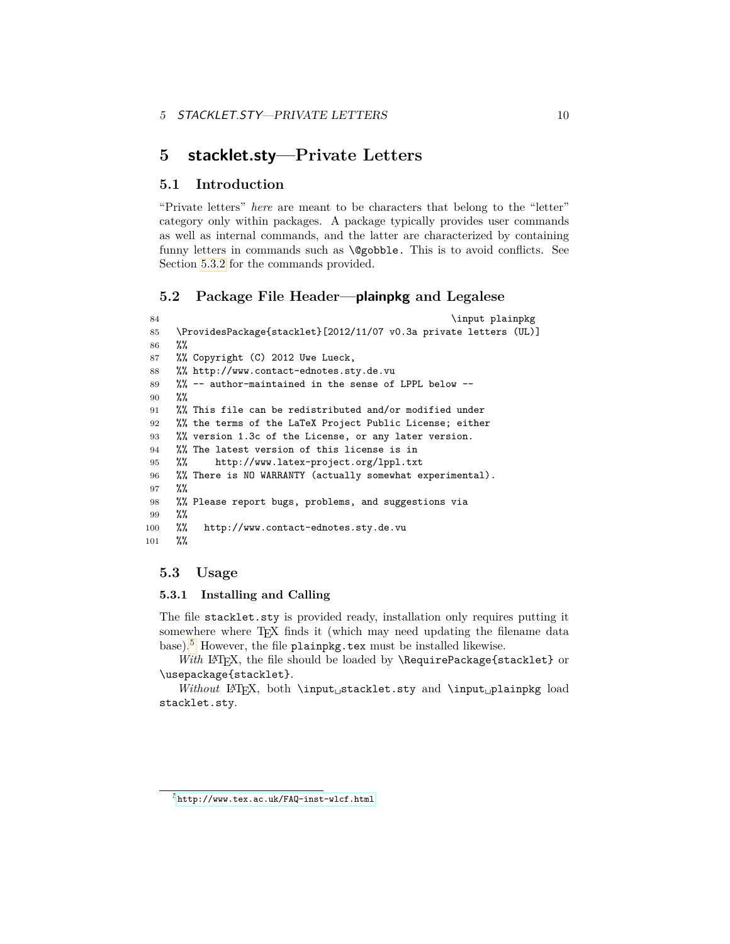# <span id="page-9-0"></span>**5 stacklet.sty—Private Letters**

## <span id="page-9-1"></span>**5.1 Introduction**

"Private letters" *here* are meant to be characters that belong to the "letter" category only within packages. A package typically provides user commands as well as internal commands, and the latter are characterized by containing funny letters in commands such as \@gobble. This is to avoid conflicts. See Section [5.3.2](#page-10-0) for the commands provided.

# <span id="page-9-2"></span>**5.2 Package File Header—plainpkg and Legalese**

```
84 \input plainpkg
85 \ProvidesPackage{stacklet}[2012/11/07 v0.3a private letters (UL)]
86 %%
87 %% Copyright (C) 2012 Uwe Lueck,
88 %% http://www.contact-ednotes.sty.de.vu
89 %% -- author-maintained in the sense of LPPL below --
90 %%
91 %% This file can be redistributed and/or modified under
92 %% the terms of the LaTeX Project Public License; either
93 %% version 1.3c of the License, or any later version.
94 %% The latest version of this license is in
95 %% http://www.latex-project.org/lppl.txt
96 %% There is NO WARRANTY (actually somewhat experimental).
97 %%
98 %% Please report bugs, problems, and suggestions via
99 %%
100 %% http://www.contact-ednotes.sty.de.vu
101 %%
```
## <span id="page-9-3"></span>**5.3 Usage**

## <span id="page-9-4"></span>**5.3.1 Installing and Calling**

The file stacklet.sty is provided ready, installation only requires putting it somewhere where T<sub>EX</sub> finds it (which may need updating the filename data base).[5](#page-9-5) However, the file plainpkg.tex must be installed likewise.

With LAT<sub>E</sub>X, the file should be loaded by **\RequirePackage{stacklet}** or \usepackage{stacklet}.

*Without* LATEX, both \input␣stacklet.sty and \input␣plainpkg load stacklet.sty.

<span id="page-9-5"></span> ${\rm ^5}$ <http://www.tex.ac.uk/FAQ-inst-wlcf.html>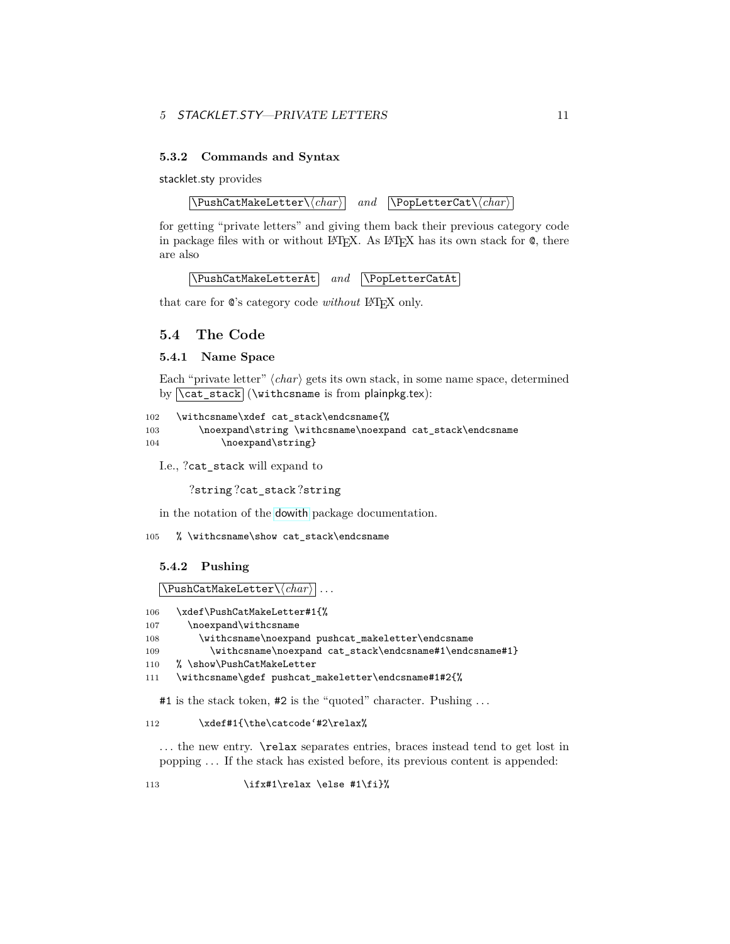## 5 STACKLET.STY—PRIVATE LETTERS 11

## <span id="page-10-0"></span>**5.3.2 Commands and Syntax**

stacklet.sty provides

 $\overline{\Delta tMakeLetter\langle char \rangle}$  *and*  $\overline{\Delta tMare}(char)$ 

for getting "private letters" and giving them back their previous category code in package files with or without LAT<sub>EX</sub>. As LAT<sub>EX</sub> has its own stack for  $\mathcal{Q}$ , there are also

\PushCatMakeLetterAt *and* \PopLetterCatAt

that care for  $\mathbb{Q}$ 's category code *without* L<sup>AT</sup>FX only.

## <span id="page-10-1"></span>**5.4 The Code**

## <span id="page-10-2"></span>**5.4.1 Name Space**

Each "private letter"  $\langle char \rangle$  gets its own stack, in some name space, determined by  $\cat\_stack$  (\withcsname is from plainpkg.tex):

```
102 \withcsname\xdef cat_stack\endcsname{%
103 \noexpand\string \withcsname\noexpand cat_stack\endcsname
104 \noexpand\string}
```
I.e., ?cat\_stack will expand to

?string ?cat\_stack ?string

in the notation of the [dowith](http://ctan.org/pkg/dowith) package documentation.

105 % \withcsname\show cat\_stack\endcsname

#### <span id="page-10-3"></span>**5.4.2 Pushing**

 $\Delta$ PushCatMakeLetter $\langle char \rangle$ 

```
106 \xdef\PushCatMakeLetter#1{%
```

```
107 \noexpand\withcsname
```

```
108 \withcsname\noexpand pushcat_makeletter\endcsname
```

```
109 \withcsname\noexpand cat_stack\endcsname#1\endcsname#1}
```

```
110 % \show\PushCatMakeLetter
```

```
111 \withcsname\gdef pushcat_makeletter\endcsname#1#2{%
```
#1 is the stack token, #2 is the "quoted" character. Pushing . . .

## 112 \xdef#1{\the\catcode'#2\relax%

... the new entry. **\relax** separates entries, braces instead tend to get lost in popping . . . If the stack has existed before, its previous content is appended:

113  $\iint x#1\relax \else$  \tilenglar \else #1\fi}%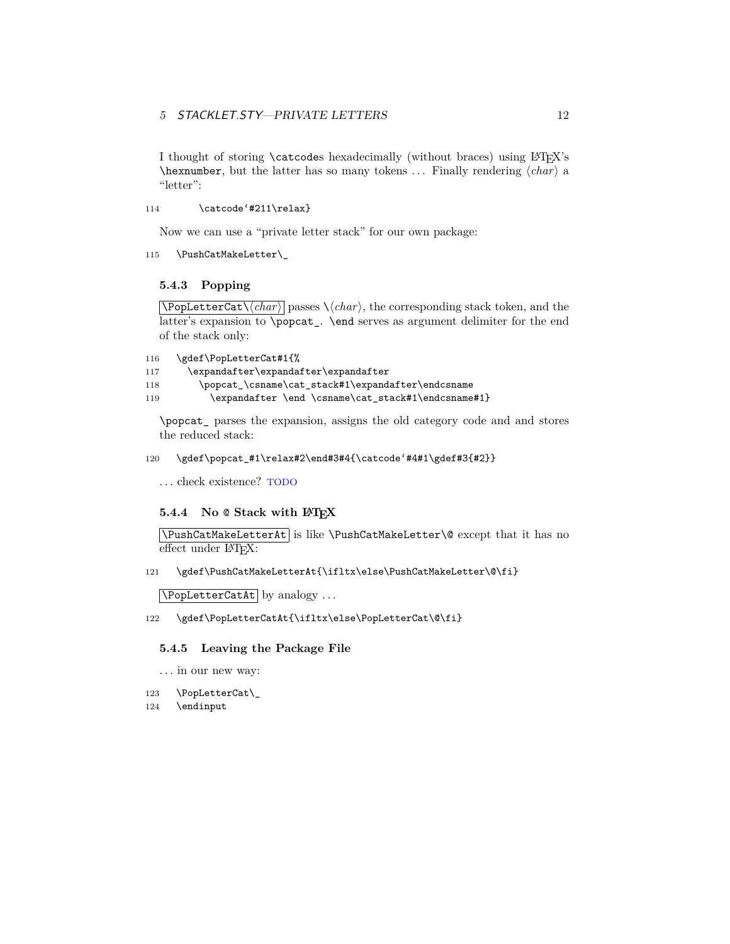## 5 STACKLET.STY—PRIVATE LETTERS 12

I thought of storing **\catcodes** hexadecimally (without braces) using LATEX's  $\hbar$  hexnumber, but the latter has so many tokens ... Finally rendering  $\langle char \rangle$  a "letter":

114 \catcode'#211\relax}

Now we can use a "private letter stack" for our own package:

115 \PushCatMakeLetter\\_

## <span id="page-11-0"></span>**5.4.3 Popping**

 $\overline{\Delta t\backslash (char)}$  passes  $\langle char \rangle$ , the corresponding stack token, and the latter's expansion to \popcat\_. \end serves as argument delimiter for the end of the stack only:

```
116 \gdef\PopLetterCat#1{%
```

```
117 \expandafter\expandafter\expandafter
```
118 \popcat\_\csname\cat\_stack#1\expandafter\endcsname

119 \expandafter \end \csname\cat\_stack#1\endcsname#1}

\popcat\_ parses the expansion, assigns the old category code and and stores the reduced stack:

## 120 \gdef\popcat\_#1\relax#2\end#3#4{\catcode'#4#1\gdef#3{#2}}

. . . check existence? TODO

#### <span id="page-11-1"></span>**5.4.4 No** @ **Stack with LATEX**

\PushCatMakeLetterAt is like \PushCatMakeLetter\@ except that it has no effect under L<sup>AT</sup>FX:

121 \gdef\PushCatMakeLetterAt{\ifltx\else\PushCatMakeLetter\@\fi}

 $\Delta$ PopLetterCatAt by analogy ...

## 122 \gdef\PopLetterCatAt{\ifltx\else\PopLetterCat\@\fi}

### <span id="page-11-2"></span>**5.4.5 Leaving the Package File**

- . . . in our new way:
- 123 \PopLetterCat\\_
- 124 \endinput